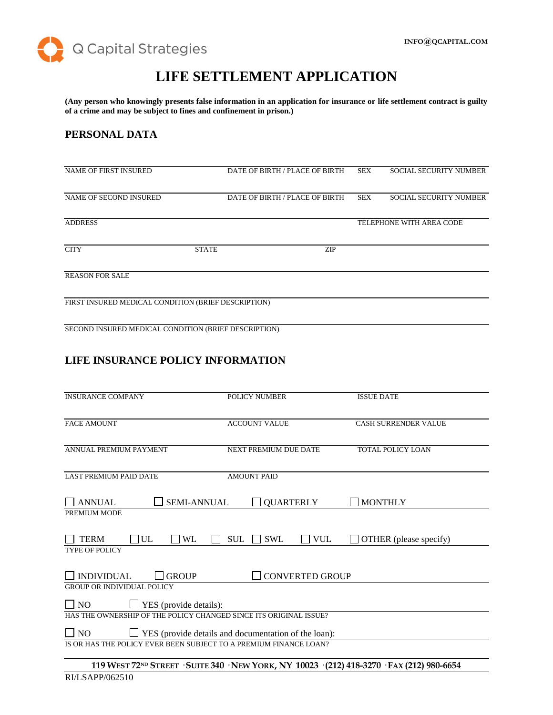

# **LIFE SETTLEMENT APPLICATION**

**(Any person who knowingly presents false information in an application for insurance or life settlement contract is guilty of a crime and may be subject to fines and confinement in prison.)**

#### **PERSONAL DATA**

| <b>NAME OF FIRST INSURED</b>                         |              | DATE OF BIRTH / PLACE OF BIRTH | SEX        | <b>SOCIAL SECURITY NUMBER</b> |
|------------------------------------------------------|--------------|--------------------------------|------------|-------------------------------|
|                                                      |              |                                |            |                               |
| NAME OF SECOND INSURED                               |              | DATE OF BIRTH / PLACE OF BIRTH | <b>SEX</b> | <b>SOCIAL SECURITY NUMBER</b> |
|                                                      |              |                                |            |                               |
| <b>ADDRESS</b>                                       |              |                                |            | TELEPHONE WITH AREA CODE      |
|                                                      |              |                                |            |                               |
| <b>CITY</b>                                          | <b>STATE</b> | <b>ZIP</b>                     |            |                               |
|                                                      |              |                                |            |                               |
| <b>REASON FOR SALE</b>                               |              |                                |            |                               |
|                                                      |              |                                |            |                               |
| FIRST INSURED MEDICAL CONDITION (BRIEF DESCRIPTION)  |              |                                |            |                               |
|                                                      |              |                                |            |                               |
| SECOND INSURED MEDICAL CONDITION (BRIEF DESCRIPTION) |              |                                |            |                               |

# **LIFE INSURANCE POLICY INFORMATION**

| <b>INSURANCE COMPANY</b>                                                 | <b>POLICY NUMBER</b>                   | <b>ISSUE DATE</b>                                                                                       |  |
|--------------------------------------------------------------------------|----------------------------------------|---------------------------------------------------------------------------------------------------------|--|
| <b>FACE AMOUNT</b>                                                       | <b>ACCOUNT VALUE</b>                   | <b>CASH SURRENDER VALUE</b>                                                                             |  |
| ANNUAL PREMIUM PAYMENT                                                   | <b>NEXT PREMIUM DUE DATE</b>           | <b>TOTAL POLICY LOAN</b>                                                                                |  |
| <b>LAST PREMIUM PAID DATE</b>                                            | <b>AMOUNT PAID</b>                     |                                                                                                         |  |
| <b>SEMI-ANNUAL</b><br><b>ANNUAL</b>                                      | <b>QUARTERLY</b>                       | <b>MONTHLY</b>                                                                                          |  |
| PREMIUM MODE                                                             |                                        |                                                                                                         |  |
| UL<br><b>TERM</b><br><b>WL</b><br><b>TYPE OF POLICY</b>                  | <b>SUL</b><br><b>SWL</b><br><b>VUL</b> | OTHER (please specify)                                                                                  |  |
| <b>INDIVIDUAL</b><br><b>GROUP</b><br><b>GROUP OR INDIVIDUAL POLICY</b>   | <b>CONVERTED GROUP</b>                 |                                                                                                         |  |
| $\Box$ NO<br>$\Box$ YES (provide details):                               |                                        |                                                                                                         |  |
| HAS THE OWNERSHIP OF THE POLICY CHANGED SINCE ITS ORIGINAL ISSUE?        |                                        |                                                                                                         |  |
| $\Box$ NO<br>$\Box$ YES (provide details and documentation of the loan): |                                        |                                                                                                         |  |
| IS OR HAS THE POLICY EVER BEEN SUBJECT TO A PREMIUM FINANCE LOAN?        |                                        |                                                                                                         |  |
|                                                                          |                                        | 119 WEST 72 <sup>ND</sup> STREET · SUITE 340 · NEW YORK, NY 10023 · (212) 418-3270 · FAX (212) 980-6654 |  |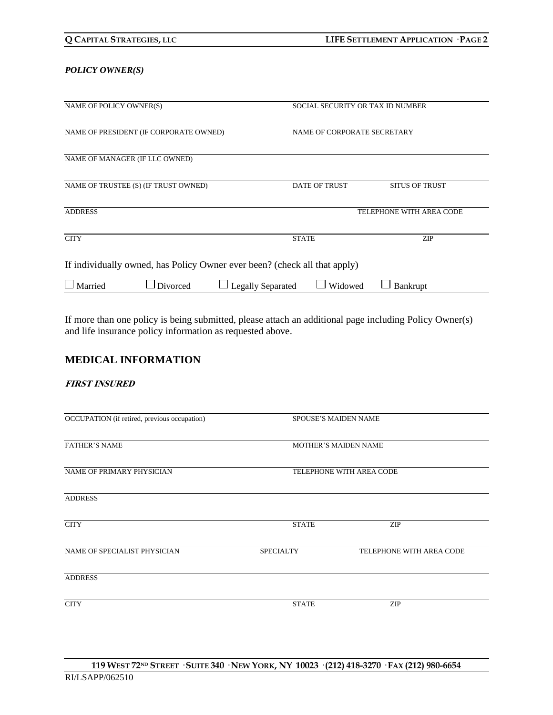#### *POLICY OWNER(S)*

| NAME OF POLICY OWNER(S)                                                   |          |                          | SOCIAL SECURITY OR TAX ID NUMBER |                          |
|---------------------------------------------------------------------------|----------|--------------------------|----------------------------------|--------------------------|
| NAME OF PRESIDENT (IF CORPORATE OWNED)                                    |          |                          | NAME OF CORPORATE SECRETARY      |                          |
| NAME OF MANAGER (IF LLC OWNED)                                            |          |                          |                                  |                          |
| NAME OF TRUSTEE (S) (IF TRUST OWNED)                                      |          |                          | <b>DATE OF TRUST</b>             | <b>SITUS OF TRUST</b>    |
| <b>ADDRESS</b>                                                            |          |                          |                                  | TELEPHONE WITH AREA CODE |
| <b>CITY</b>                                                               |          |                          | <b>STATE</b>                     | ZIP                      |
| If individually owned, has Policy Owner ever been? (check all that apply) |          |                          |                                  |                          |
| $\Box$ Married                                                            | Divorced | <b>Legally Separated</b> | Widowed                          | Bankrupt                 |

If more than one policy is being submitted, please attach an additional page including Policy Owner(s) and life insurance policy information as requested above.

### **MEDICAL INFORMATION**

#### **FIRST INSURED**

| OCCUPATION (if retired, previous occupation) | <b>SPOUSE'S MAIDEN NAME</b> |                          |  |
|----------------------------------------------|-----------------------------|--------------------------|--|
| <b>FATHER'S NAME</b>                         | <b>MOTHER'S MAIDEN NAME</b> |                          |  |
| NAME OF PRIMARY PHYSICIAN                    | TELEPHONE WITH AREA CODE    |                          |  |
| <b>ADDRESS</b>                               |                             |                          |  |
| <b>CITY</b>                                  | <b>STATE</b>                | <b>ZIP</b>               |  |
| NAME OF SPECIALIST PHYSICIAN                 | <b>SPECIALTY</b>            | TELEPHONE WITH AREA CODE |  |
| <b>ADDRESS</b>                               |                             |                          |  |
| <b>CITY</b>                                  | <b>STATE</b>                | ZIP                      |  |
|                                              |                             |                          |  |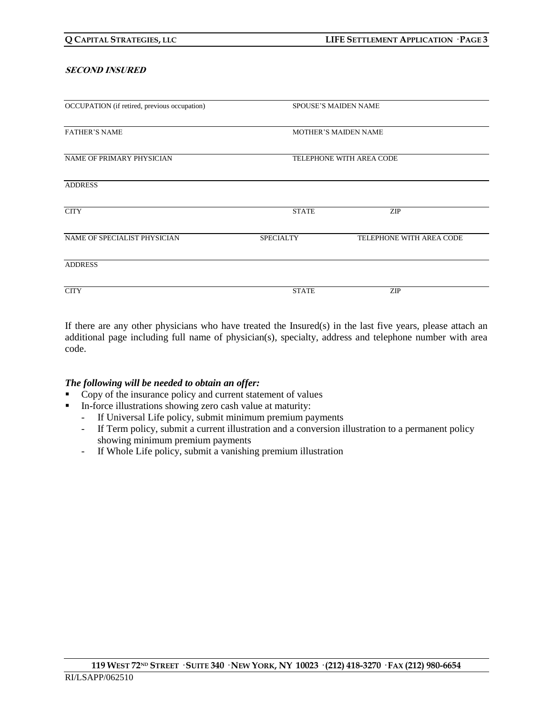#### **SECOND INSURED**

| OCCUPATION (if retired, previous occupation) |                             | <b>SPOUSE'S MAIDEN NAME</b> |  |
|----------------------------------------------|-----------------------------|-----------------------------|--|
| <b>FATHER'S NAME</b>                         | <b>MOTHER'S MAIDEN NAME</b> |                             |  |
| NAME OF PRIMARY PHYSICIAN                    | TELEPHONE WITH AREA CODE    |                             |  |
| <b>ADDRESS</b>                               |                             |                             |  |
| <b>CITY</b>                                  | <b>STATE</b>                | <b>ZIP</b>                  |  |
| NAME OF SPECIALIST PHYSICIAN                 | <b>SPECIALTY</b>            | TELEPHONE WITH AREA CODE    |  |
| <b>ADDRESS</b>                               |                             |                             |  |
| <b>CITY</b>                                  | <b>STATE</b>                | <b>ZIP</b>                  |  |

If there are any other physicians who have treated the Insured(s) in the last five years, please attach an additional page including full name of physician(s), specialty, address and telephone number with area code.

#### *The following will be needed to obtain an offer:*

- Copy of the insurance policy and current statement of values
- In-force illustrations showing zero cash value at maturity:
	- If Universal Life policy, submit minimum premium payments
	- If Term policy, submit a current illustration and a conversion illustration to a permanent policy showing minimum premium payments
	- If Whole Life policy, submit a vanishing premium illustration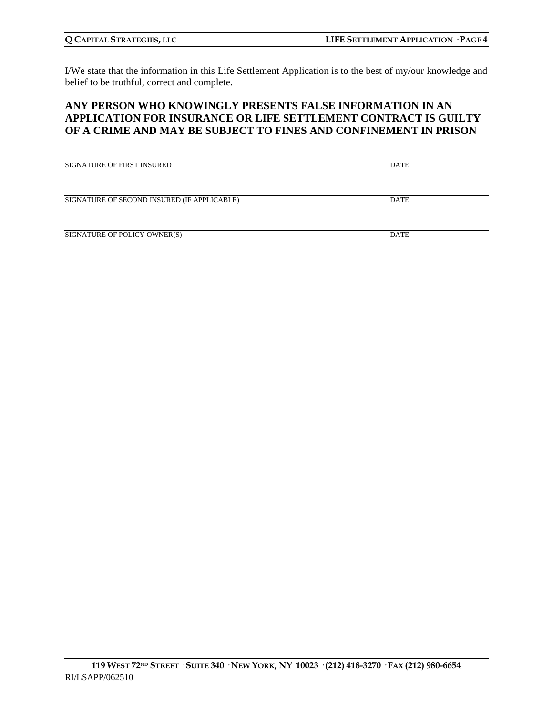I/We state that the information in this Life Settlement Application is to the best of my/our knowledge and belief to be truthful, correct and complete.

### **ANY PERSON WHO KNOWINGLY PRESENTS FALSE INFORMATION IN AN APPLICATION FOR INSURANCE OR LIFE SETTLEMENT CONTRACT IS GUILTY OF A CRIME AND MAY BE SUBJECT TO FINES AND CONFINEMENT IN PRISON**

| <b>SIGNATURE OF FIRST INSURED</b>           | DATE        |
|---------------------------------------------|-------------|
| SIGNATURE OF SECOND INSURED (IF APPLICABLE) | DATE        |
| SIGNATURE OF POLICY OWNER(S)                | <b>DATE</b> |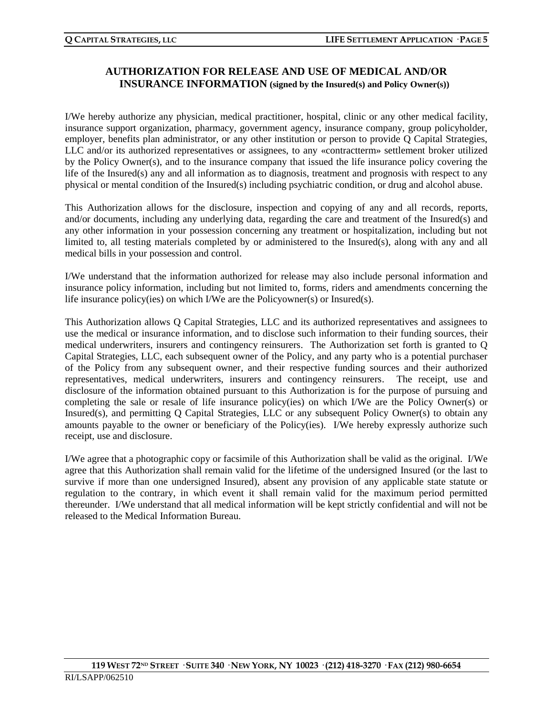# **AUTHORIZATION FOR RELEASE AND USE OF MEDICAL AND/OR INSURANCE INFORMATION (signed by the Insured(s) and Policy Owner(s))**

I/We hereby authorize any physician, medical practitioner, hospital, clinic or any other medical facility, insurance support organization, pharmacy, government agency, insurance company, group policyholder, employer, benefits plan administrator, or any other institution or person to provide Q Capital Strategies, LLC and/or its authorized representatives or assignees, to any «contractterm» settlement broker utilized by the Policy Owner(s), and to the insurance company that issued the life insurance policy covering the life of the Insured(s) any and all information as to diagnosis, treatment and prognosis with respect to any physical or mental condition of the Insured(s) including psychiatric condition, or drug and alcohol abuse.

This Authorization allows for the disclosure, inspection and copying of any and all records, reports, and/or documents, including any underlying data, regarding the care and treatment of the Insured(s) and any other information in your possession concerning any treatment or hospitalization, including but not limited to, all testing materials completed by or administered to the Insured(s), along with any and all medical bills in your possession and control.

I/We understand that the information authorized for release may also include personal information and insurance policy information, including but not limited to, forms, riders and amendments concerning the life insurance policy(ies) on which I/We are the Policyowner(s) or Insured(s).

This Authorization allows Q Capital Strategies, LLC and its authorized representatives and assignees to use the medical or insurance information, and to disclose such information to their funding sources, their medical underwriters, insurers and contingency reinsurers. The Authorization set forth is granted to Q Capital Strategies, LLC, each subsequent owner of the Policy, and any party who is a potential purchaser of the Policy from any subsequent owner, and their respective funding sources and their authorized representatives, medical underwriters, insurers and contingency reinsurers. The receipt, use and disclosure of the information obtained pursuant to this Authorization is for the purpose of pursuing and completing the sale or resale of life insurance policy(ies) on which I/We are the Policy Owner(s) or Insured(s), and permitting Q Capital Strategies, LLC or any subsequent Policy Owner(s) to obtain any amounts payable to the owner or beneficiary of the Policy(ies). I/We hereby expressly authorize such receipt, use and disclosure.

I/We agree that a photographic copy or facsimile of this Authorization shall be valid as the original. I/We agree that this Authorization shall remain valid for the lifetime of the undersigned Insured (or the last to survive if more than one undersigned Insured), absent any provision of any applicable state statute or regulation to the contrary, in which event it shall remain valid for the maximum period permitted thereunder. I/We understand that all medical information will be kept strictly confidential and will not be released to the Medical Information Bureau.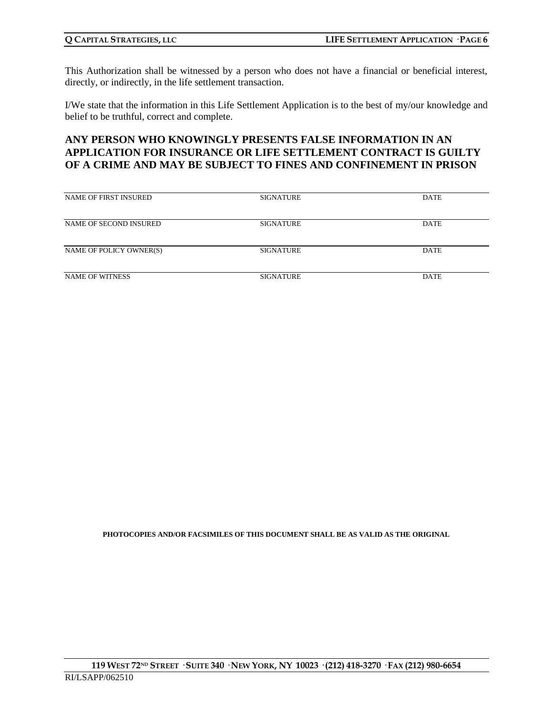This Authorization shall be witnessed by a person who does not have a financial or beneficial interest, directly, or indirectly, in the life settlement transaction.

I/We state that the information in this Life Settlement Application is to the best of my/our knowledge and belief to be truthful, correct and complete.

### **ANY PERSON WHO KNOWINGLY PRESENTS FALSE INFORMATION IN AN APPLICATION FOR INSURANCE OR LIFE SETTLEMENT CONTRACT IS GUILTY OF A CRIME AND MAY BE SUBJECT TO FINES AND CONFINEMENT IN PRISON**

| NAME OF FIRST INSURED   | <b>SIGNATURE</b> | <b>DATE</b> |
|-------------------------|------------------|-------------|
|                         |                  |             |
|                         |                  |             |
|                         |                  |             |
|                         |                  |             |
| NAME OF SECOND INSURED  | <b>SIGNATURE</b> | <b>DATE</b> |
|                         |                  |             |
|                         |                  |             |
|                         |                  |             |
| NAME OF POLICY OWNER(S) | <b>SIGNATURE</b> | DATE        |
|                         |                  |             |
|                         |                  |             |
|                         |                  |             |
| <b>NAME OF WITNESS</b>  | <b>SIGNATURE</b> | <b>DATE</b> |
|                         |                  |             |

**PHOTOCOPIES AND/OR FACSIMILES OF THIS DOCUMENT SHALL BE AS VALID AS THE ORIGINAL**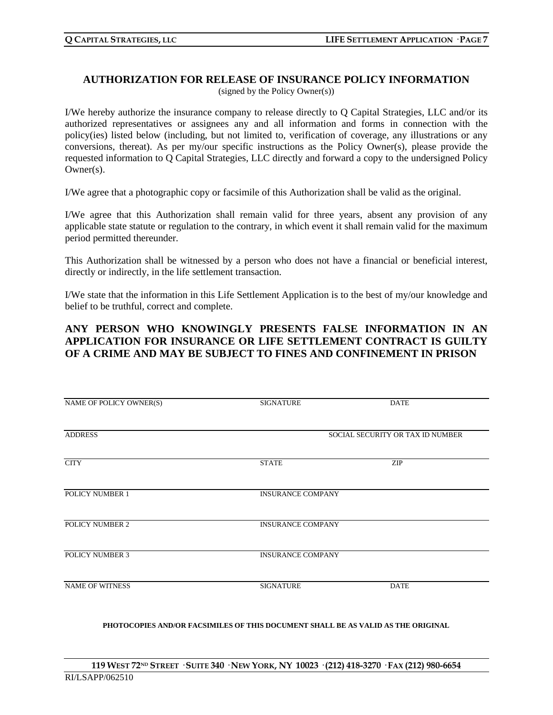#### **AUTHORIZATION FOR RELEASE OF INSURANCE POLICY INFORMATION** (signed by the Policy Owner(s))

I/We hereby authorize the insurance company to release directly to Q Capital Strategies, LLC and/or its authorized representatives or assignees any and all information and forms in connection with the policy(ies) listed below (including, but not limited to, verification of coverage, any illustrations or any conversions, thereat). As per my/our specific instructions as the Policy Owner(s), please provide the requested information to Q Capital Strategies, LLC directly and forward a copy to the undersigned Policy Owner(s).

I/We agree that a photographic copy or facsimile of this Authorization shall be valid as the original.

I/We agree that this Authorization shall remain valid for three years, absent any provision of any applicable state statute or regulation to the contrary, in which event it shall remain valid for the maximum period permitted thereunder.

This Authorization shall be witnessed by a person who does not have a financial or beneficial interest, directly or indirectly, in the life settlement transaction.

I/We state that the information in this Life Settlement Application is to the best of my/our knowledge and belief to be truthful, correct and complete.

## **ANY PERSON WHO KNOWINGLY PRESENTS FALSE INFORMATION IN AN APPLICATION FOR INSURANCE OR LIFE SETTLEMENT CONTRACT IS GUILTY OF A CRIME AND MAY BE SUBJECT TO FINES AND CONFINEMENT IN PRISON**

| NAME OF POLICY OWNER(S) | <b>SIGNATURE</b>         | <b>DATE</b>                      |
|-------------------------|--------------------------|----------------------------------|
| <b>ADDRESS</b>          |                          | SOCIAL SECURITY OR TAX ID NUMBER |
|                         |                          |                                  |
| <b>CITY</b>             | <b>STATE</b>             | ZIP                              |
| POLICY NUMBER 1         | <b>INSURANCE COMPANY</b> |                                  |
|                         |                          |                                  |
| POLICY NUMBER 2         | <b>INSURANCE COMPANY</b> |                                  |
| POLICY NUMBER 3         | <b>INSURANCE COMPANY</b> |                                  |
| <b>NAME OF WITNESS</b>  | <b>SIGNATURE</b>         | <b>DATE</b>                      |
|                         |                          |                                  |
|                         |                          |                                  |

**PHOTOCOPIES AND/OR FACSIMILES OF THIS DOCUMENT SHALL BE AS VALID AS THE ORIGINAL**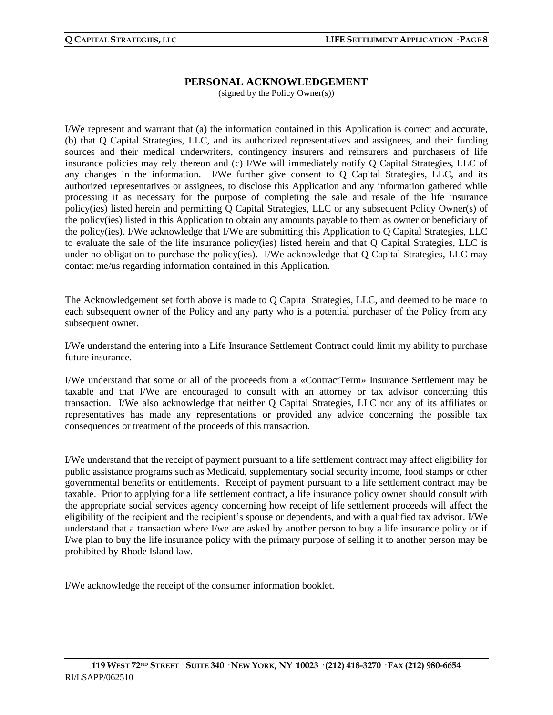#### **PERSONAL ACKNOWLEDGEMENT**

(signed by the Policy Owner(s))

I/We represent and warrant that (a) the information contained in this Application is correct and accurate, (b) that Q Capital Strategies, LLC, and its authorized representatives and assignees, and their funding sources and their medical underwriters, contingency insurers and reinsurers and purchasers of life insurance policies may rely thereon and (c) I/We will immediately notify Q Capital Strategies, LLC of any changes in the information. I/We further give consent to Q Capital Strategies, LLC, and its authorized representatives or assignees, to disclose this Application and any information gathered while processing it as necessary for the purpose of completing the sale and resale of the life insurance policy(ies) listed herein and permitting Q Capital Strategies, LLC or any subsequent Policy Owner(s) of the policy(ies) listed in this Application to obtain any amounts payable to them as owner or beneficiary of the policy(ies). I/We acknowledge that I/We are submitting this Application to Q Capital Strategies, LLC to evaluate the sale of the life insurance policy(ies) listed herein and that Q Capital Strategies, LLC is under no obligation to purchase the policy(ies). I/We acknowledge that Q Capital Strategies, LLC may contact me/us regarding information contained in this Application.

The Acknowledgement set forth above is made to Q Capital Strategies, LLC, and deemed to be made to each subsequent owner of the Policy and any party who is a potential purchaser of the Policy from any subsequent owner.

I/We understand the entering into a Life Insurance Settlement Contract could limit my ability to purchase future insurance.

I/We understand that some or all of the proceeds from a «ContractTerm» Insurance Settlement may be taxable and that I/We are encouraged to consult with an attorney or tax advisor concerning this transaction. I/We also acknowledge that neither Q Capital Strategies, LLC nor any of its affiliates or representatives has made any representations or provided any advice concerning the possible tax consequences or treatment of the proceeds of this transaction.

I/We understand that the receipt of payment pursuant to a life settlement contract may affect eligibility for public assistance programs such as Medicaid, supplementary social security income, food stamps or other governmental benefits or entitlements. Receipt of payment pursuant to a life settlement contract may be taxable. Prior to applying for a life settlement contract, a life insurance policy owner should consult with the appropriate social services agency concerning how receipt of life settlement proceeds will affect the eligibility of the recipient and the recipient's spouse or dependents, and with a qualified tax advisor. I/We understand that a transaction where I/we are asked by another person to buy a life insurance policy or if I/we plan to buy the life insurance policy with the primary purpose of selling it to another person may be prohibited by Rhode Island law.

I/We acknowledge the receipt of the consumer information booklet.